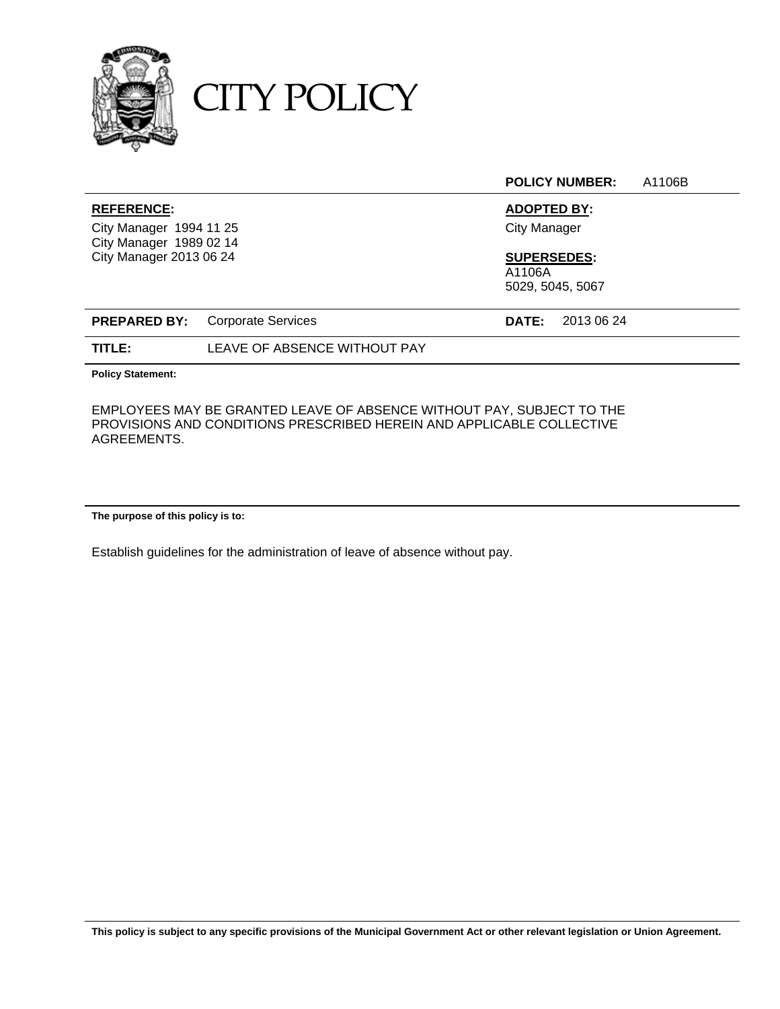

CITY POLICY

**POLICY NUMBER:** A1106B

City Manager 1994 11 25 City Manager City Manager 1989 02 14 City Manager 2013 06 24 **SUPERSEDES:** 

# **REFERENCE: ADOPTED BY:**

A1106A

5029, 5045, 5067

|        | <b>PREPARED BY:</b> Corporate Services | <b>DATE:</b> 2013 06 24 |
|--------|----------------------------------------|-------------------------|
| TITLE: | LEAVE OF ABSENCE WITHOUT PAY           |                         |

**Policy Statement:**

EMPLOYEES MAY BE GRANTED LEAVE OF ABSENCE WITHOUT PAY, SUBJECT TO THE PROVISIONS AND CONDITIONS PRESCRIBED HEREIN AND APPLICABLE COLLECTIVE AGREEMENTS.

**The purpose of this policy is to:** 

Establish guidelines for the administration of leave of absence without pay.

**This policy is subject to any specific provisions of the Municipal Government Act or other relevant legislation or Union Agreement.**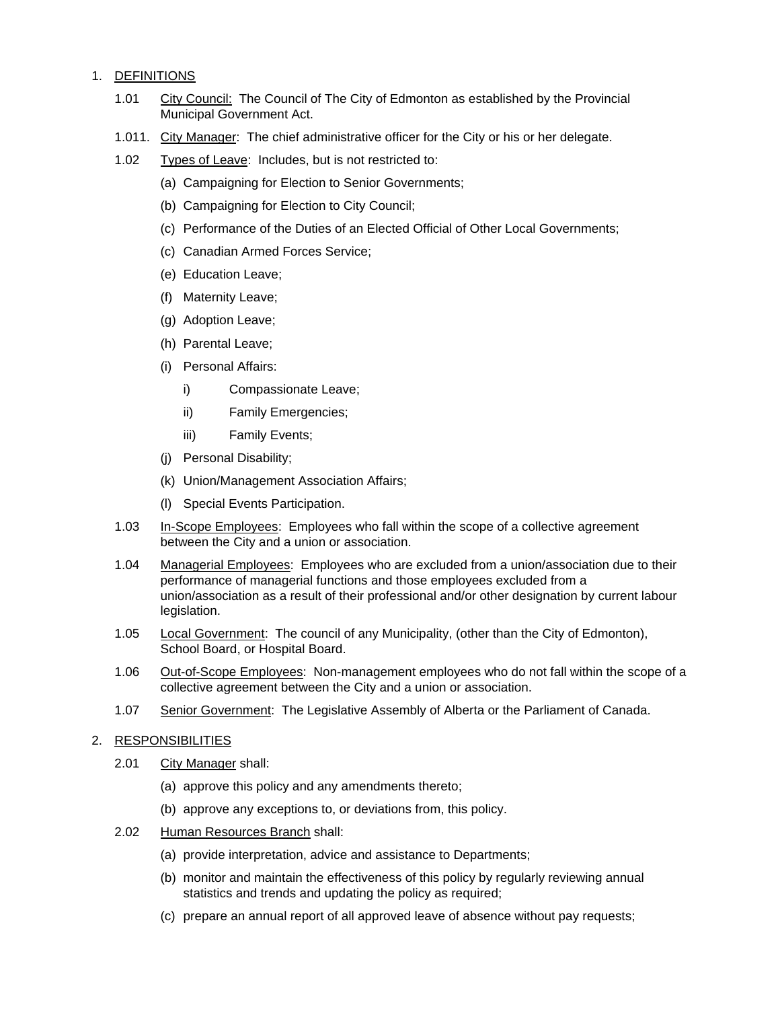# 1. DEFINITIONS

- 1.01 City Council: The Council of The City of Edmonton as established by the Provincial Municipal Government Act.
- 1.011. City Manager: The chief administrative officer for the City or his or her delegate.
- 1.02 Types of Leave: Includes, but is not restricted to:
	- (a) Campaigning for Election to Senior Governments;
	- (b) Campaigning for Election to City Council;
	- (c) Performance of the Duties of an Elected Official of Other Local Governments;
	- (c) Canadian Armed Forces Service;
	- (e) Education Leave;
	- (f) Maternity Leave;
	- (g) Adoption Leave;
	- (h) Parental Leave;
	- (i) Personal Affairs:
		- i) Compassionate Leave;
		- ii) Family Emergencies;
		- iii) Family Events;
	- (j) Personal Disability;
	- (k) Union/Management Association Affairs;
	- (l) Special Events Participation.
- 1.03 In-Scope Employees: Employees who fall within the scope of a collective agreement between the City and a union or association.
- 1.04 Managerial Employees: Employees who are excluded from a union/association due to their performance of managerial functions and those employees excluded from a union/association as a result of their professional and/or other designation by current labour legislation.
- 1.05 Local Government: The council of any Municipality, (other than the City of Edmonton), School Board, or Hospital Board.
- 1.06 Out-of-Scope Employees: Non-management employees who do not fall within the scope of a collective agreement between the City and a union or association.
- 1.07 Senior Government: The Legislative Assembly of Alberta or the Parliament of Canada.
- 2. RESPONSIBILITIES
	- 2.01 City Manager shall:
		- (a) approve this policy and any amendments thereto;
		- (b) approve any exceptions to, or deviations from, this policy.
	- 2.02 Human Resources Branch shall:
		- (a) provide interpretation, advice and assistance to Departments;
		- (b) monitor and maintain the effectiveness of this policy by regularly reviewing annual statistics and trends and updating the policy as required;
		- (c) prepare an annual report of all approved leave of absence without pay requests;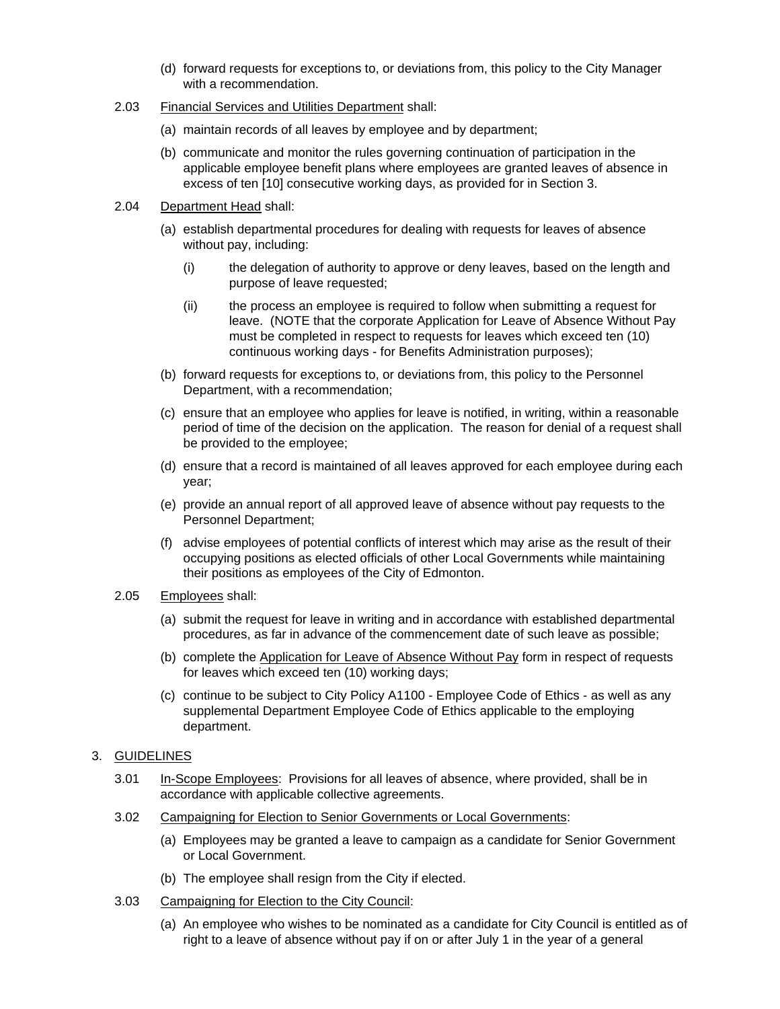- (d) forward requests for exceptions to, or deviations from, this policy to the City Manager with a recommendation.
- 2.03 Financial Services and Utilities Department shall:
	- (a) maintain records of all leaves by employee and by department;
	- (b) communicate and monitor the rules governing continuation of participation in the applicable employee benefit plans where employees are granted leaves of absence in excess of ten [10] consecutive working days, as provided for in Section 3.
- 2.04 Department Head shall:
	- (a) establish departmental procedures for dealing with requests for leaves of absence without pay, including:
		- (i) the delegation of authority to approve or deny leaves, based on the length and purpose of leave requested;
		- (ii) the process an employee is required to follow when submitting a request for leave. (NOTE that the corporate Application for Leave of Absence Without Pay must be completed in respect to requests for leaves which exceed ten (10) continuous working days - for Benefits Administration purposes);
	- (b) forward requests for exceptions to, or deviations from, this policy to the Personnel Department, with a recommendation;
	- (c) ensure that an employee who applies for leave is notified, in writing, within a reasonable period of time of the decision on the application. The reason for denial of a request shall be provided to the employee;
	- (d) ensure that a record is maintained of all leaves approved for each employee during each year;
	- (e) provide an annual report of all approved leave of absence without pay requests to the Personnel Department;
	- (f) advise employees of potential conflicts of interest which may arise as the result of their occupying positions as elected officials of other Local Governments while maintaining their positions as employees of the City of Edmonton.
- 2.05 Employees shall:
	- (a) submit the request for leave in writing and in accordance with established departmental procedures, as far in advance of the commencement date of such leave as possible;
	- (b) complete the Application for Leave of Absence Without Pay form in respect of requests for leaves which exceed ten (10) working days;
	- (c) continue to be subject to City Policy A1100 Employee Code of Ethics as well as any supplemental Department Employee Code of Ethics applicable to the employing department.
- 3. GUIDELINES
	- 3.01 In-Scope Employees: Provisions for all leaves of absence, where provided, shall be in accordance with applicable collective agreements.
	- 3.02 Campaigning for Election to Senior Governments or Local Governments:
		- (a) Employees may be granted a leave to campaign as a candidate for Senior Government or Local Government.
		- (b) The employee shall resign from the City if elected.
	- 3.03 Campaigning for Election to the City Council:
		- (a) An employee who wishes to be nominated as a candidate for City Council is entitled as of right to a leave of absence without pay if on or after July 1 in the year of a general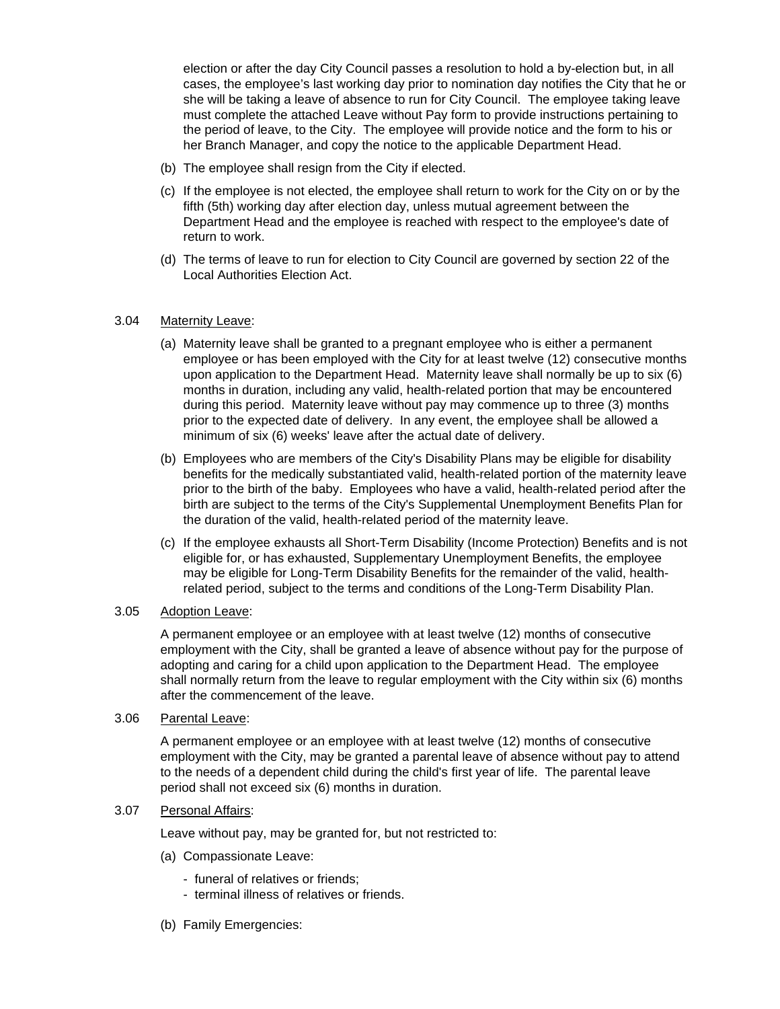election or after the day City Council passes a resolution to hold a by-election but, in all cases, the employee's last working day prior to nomination day notifies the City that he or she will be taking a leave of absence to run for City Council. The employee taking leave must complete the attached Leave without Pay form to provide instructions pertaining to the period of leave, to the City. The employee will provide notice and the form to his or her Branch Manager, and copy the notice to the applicable Department Head.

- (b) The employee shall resign from the City if elected.
- (c) If the employee is not elected, the employee shall return to work for the City on or by the fifth (5th) working day after election day, unless mutual agreement between the Department Head and the employee is reached with respect to the employee's date of return to work.
- (d) The terms of leave to run for election to City Council are governed by section 22 of the Local Authorities Election Act.

#### 3.04 Maternity Leave:

- (a) Maternity leave shall be granted to a pregnant employee who is either a permanent employee or has been employed with the City for at least twelve (12) consecutive months upon application to the Department Head. Maternity leave shall normally be up to six (6) months in duration, including any valid, health-related portion that may be encountered during this period. Maternity leave without pay may commence up to three (3) months prior to the expected date of delivery. In any event, the employee shall be allowed a minimum of six (6) weeks' leave after the actual date of delivery.
- (b) Employees who are members of the City's Disability Plans may be eligible for disability benefits for the medically substantiated valid, health-related portion of the maternity leave prior to the birth of the baby. Employees who have a valid, health-related period after the birth are subject to the terms of the City's Supplemental Unemployment Benefits Plan for the duration of the valid, health-related period of the maternity leave.
- (c) If the employee exhausts all Short-Term Disability (Income Protection) Benefits and is not eligible for, or has exhausted, Supplementary Unemployment Benefits, the employee may be eligible for Long-Term Disability Benefits for the remainder of the valid, healthrelated period, subject to the terms and conditions of the Long-Term Disability Plan.

#### 3.05 Adoption Leave:

 A permanent employee or an employee with at least twelve (12) months of consecutive employment with the City, shall be granted a leave of absence without pay for the purpose of adopting and caring for a child upon application to the Department Head. The employee shall normally return from the leave to regular employment with the City within six (6) months after the commencement of the leave.

#### 3.06 Parental Leave:

 A permanent employee or an employee with at least twelve (12) months of consecutive employment with the City, may be granted a parental leave of absence without pay to attend to the needs of a dependent child during the child's first year of life. The parental leave period shall not exceed six (6) months in duration.

#### 3.07 Personal Affairs:

Leave without pay, may be granted for, but not restricted to:

- (a) Compassionate Leave:
	- funeral of relatives or friends;
	- terminal illness of relatives or friends.
- (b) Family Emergencies: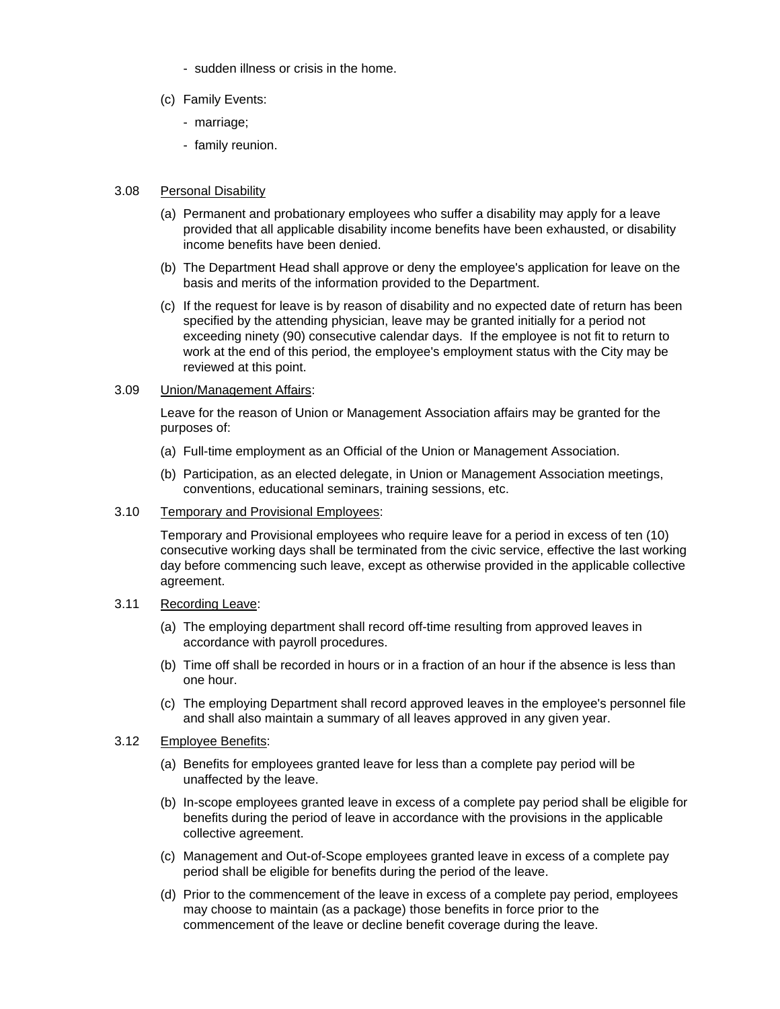- sudden illness or crisis in the home.
- (c) Family Events:
	- marriage;
	- family reunion.

### 3.08 Personal Disability

- (a) Permanent and probationary employees who suffer a disability may apply for a leave provided that all applicable disability income benefits have been exhausted, or disability income benefits have been denied.
- (b) The Department Head shall approve or deny the employee's application for leave on the basis and merits of the information provided to the Department.
- (c) If the request for leave is by reason of disability and no expected date of return has been specified by the attending physician, leave may be granted initially for a period not exceeding ninety (90) consecutive calendar days. If the employee is not fit to return to work at the end of this period, the employee's employment status with the City may be reviewed at this point.

# 3.09 Union/Management Affairs:

 Leave for the reason of Union or Management Association affairs may be granted for the purposes of:

- (a) Full-time employment as an Official of the Union or Management Association.
- (b) Participation, as an elected delegate, in Union or Management Association meetings, conventions, educational seminars, training sessions, etc.
- 3.10 Temporary and Provisional Employees:

 Temporary and Provisional employees who require leave for a period in excess of ten (10) consecutive working days shall be terminated from the civic service, effective the last working day before commencing such leave, except as otherwise provided in the applicable collective agreement.

#### 3.11 Recording Leave:

- (a) The employing department shall record off-time resulting from approved leaves in accordance with payroll procedures.
- (b) Time off shall be recorded in hours or in a fraction of an hour if the absence is less than one hour.
- (c) The employing Department shall record approved leaves in the employee's personnel file and shall also maintain a summary of all leaves approved in any given year.

### 3.12 Employee Benefits:

- (a) Benefits for employees granted leave for less than a complete pay period will be unaffected by the leave.
- (b) In-scope employees granted leave in excess of a complete pay period shall be eligible for benefits during the period of leave in accordance with the provisions in the applicable collective agreement.
- (c) Management and Out-of-Scope employees granted leave in excess of a complete pay period shall be eligible for benefits during the period of the leave.
- (d) Prior to the commencement of the leave in excess of a complete pay period, employees may choose to maintain (as a package) those benefits in force prior to the commencement of the leave or decline benefit coverage during the leave.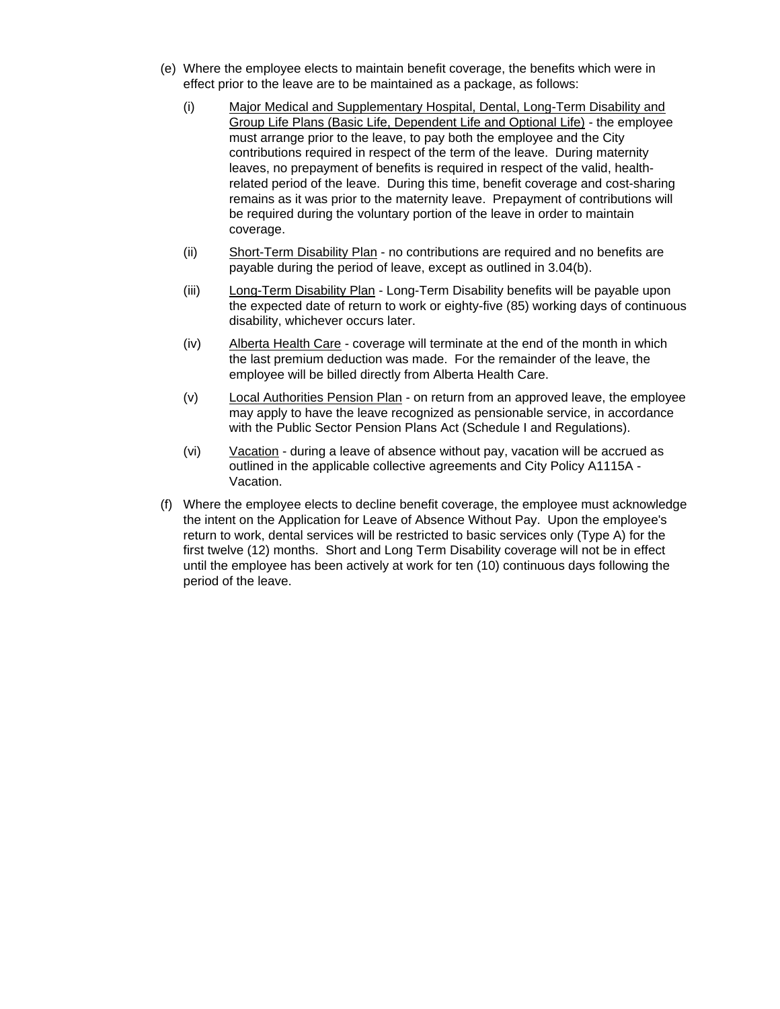- (e) Where the employee elects to maintain benefit coverage, the benefits which were in effect prior to the leave are to be maintained as a package, as follows:
	- (i) Major Medical and Supplementary Hospital, Dental, Long-Term Disability and Group Life Plans (Basic Life, Dependent Life and Optional Life) - the employee must arrange prior to the leave, to pay both the employee and the City contributions required in respect of the term of the leave. During maternity leaves, no prepayment of benefits is required in respect of the valid, healthrelated period of the leave. During this time, benefit coverage and cost-sharing remains as it was prior to the maternity leave. Prepayment of contributions will be required during the voluntary portion of the leave in order to maintain coverage.
	- (ii) Short-Term Disability Plan no contributions are required and no benefits are payable during the period of leave, except as outlined in 3.04(b).
	- (iii) Long-Term Disability Plan Long-Term Disability benefits will be payable upon the expected date of return to work or eighty-five (85) working days of continuous disability, whichever occurs later.
	- (iv) Alberta Health Care coverage will terminate at the end of the month in which the last premium deduction was made. For the remainder of the leave, the employee will be billed directly from Alberta Health Care.
	- (v) Local Authorities Pension Plan on return from an approved leave, the employee may apply to have the leave recognized as pensionable service, in accordance with the Public Sector Pension Plans Act (Schedule I and Regulations).
	- (vi) Vacation during a leave of absence without pay, vacation will be accrued as outlined in the applicable collective agreements and City Policy A1115A - Vacation.
- (f) Where the employee elects to decline benefit coverage, the employee must acknowledge the intent on the Application for Leave of Absence Without Pay. Upon the employee's return to work, dental services will be restricted to basic services only (Type A) for the first twelve (12) months. Short and Long Term Disability coverage will not be in effect until the employee has been actively at work for ten (10) continuous days following the period of the leave.